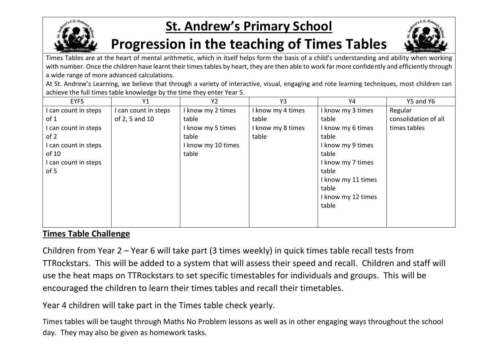

## **St. Andrew's Primary School**

## **Progression in the teaching of Times Tables**



Times Tables are at the heart of mental arithmetic, which in itself helps form the basis of a child's understanding and ability when working with number. Once the children have learnt their times tables by heart, they are then able to work far more confidently and efficiently through a wide range of more advanced calculations.

At St. Andrew's Learning, we believe that through a variety of interactive, visual, engaging and rote learning techniques, most children can achieve the full times table knowledge by the time they enter Year 5.

| <b>EYFS</b>          | Y1                 | Y <sub>2</sub>     | Y3                | Y4                 | Y5 and Y6            |
|----------------------|--------------------|--------------------|-------------------|--------------------|----------------------|
| I can count in steps | can count in steps | I know my 2 times  | I know my 4 times | I know my 3 times  | Regular              |
| of 1                 | of 2, 5 and 10     | table              | table             | table              | consolidation of all |
| I can count in steps |                    | I know my 5 times  | I know my 8 times | I know my 6 times  | times tables         |
| of 2                 |                    | table              | table             | table              |                      |
| I can count in steps |                    | I know my 10 times |                   | I know my 9 times  |                      |
| of 10                |                    | table              |                   | table              |                      |
| I can count in steps |                    |                    |                   | I know my 7 times  |                      |
| of 5                 |                    |                    |                   | table              |                      |
|                      |                    |                    |                   | I know my 11 times |                      |
|                      |                    |                    |                   | table              |                      |
|                      |                    |                    |                   | I know my 12 times |                      |
|                      |                    |                    |                   | table              |                      |
|                      |                    |                    |                   |                    |                      |
|                      |                    |                    |                   |                    |                      |

## **Times Table Challenge**

Children from Year 2 – Year 6 will take part (3 times weekly) in quick times table recall tests from TTRockstars. This will be added to a system that will assess their speed and recall. Children and staff will use the heat maps on TTRockstars to set specific timestables for individuals and groups. This will be encouraged the children to learn their times tables and recall their timetables.

Year 4 children will take part in the Times table check yearly.

Times tables will be taught through Maths No Problem lessons as well as in other engaging ways throughout the school day. They may also be given as homework tasks.